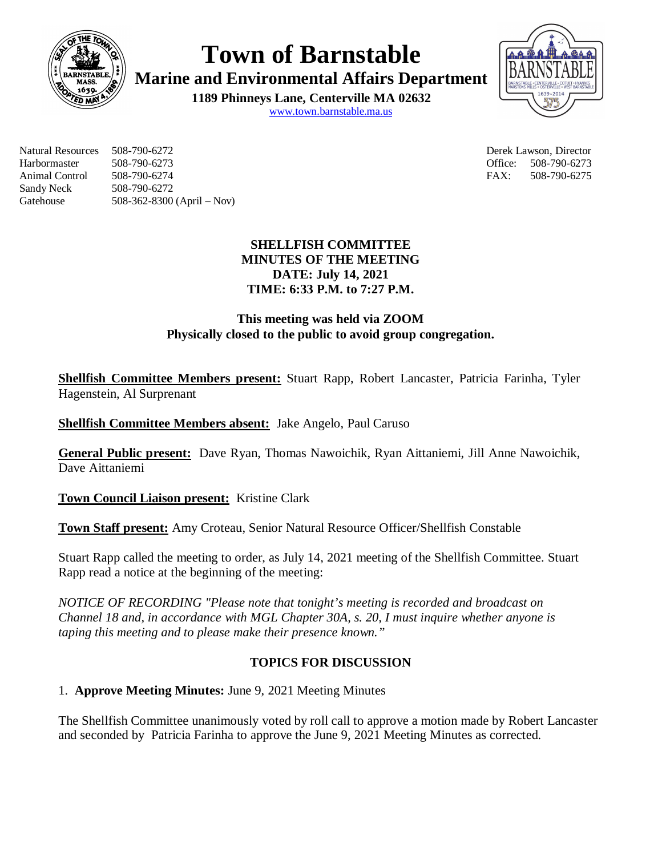

**Town of Barnstable**

**Marine and Environmental Affairs Department**

**1189 Phinneys Lane, Centerville MA 02632** www.town.barnstable.ma.us



Natural Resources 508-790-6272 Derek Lawson, Director Harbormaster 508-790-6273 Office: 508-790-6273 Animal Control 508-790-6274 FAX: 508-790-6275 Sandy Neck 508-790-6272 Gatehouse 508-362-8300 (April – Nov)

# **SHELLFISH COMMITTEE MINUTES OF THE MEETING DATE: July 14, 2021 TIME: 6:33 P.M. to 7:27 P.M.**

# **This meeting was held via ZOOM Physically closed to the public to avoid group congregation.**

**Shellfish Committee Members present:** Stuart Rapp, Robert Lancaster, Patricia Farinha, Tyler Hagenstein, Al Surprenant

**Shellfish Committee Members absent:** Jake Angelo, Paul Caruso

**General Public present:** Dave Ryan, Thomas Nawoichik, Ryan Aittaniemi, Jill Anne Nawoichik, Dave Aittaniemi

**Town Council Liaison present:** Kristine Clark

**Town Staff present:** Amy Croteau, Senior Natural Resource Officer/Shellfish Constable

Stuart Rapp called the meeting to order, as July 14, 2021 meeting of the Shellfish Committee. Stuart Rapp read a notice at the beginning of the meeting:

*NOTICE OF RECORDING "Please note that tonight's meeting is recorded and broadcast on Channel 18 and, in accordance with MGL Chapter 30A, s. 20, I must inquire whether anyone is taping this meeting and to please make their presence known."*

# **TOPICS FOR DISCUSSION**

1. **Approve Meeting Minutes:** June 9, 2021 Meeting Minutes

The Shellfish Committee unanimously voted by roll call to approve a motion made by Robert Lancaster and seconded by Patricia Farinha to approve the June 9, 2021 Meeting Minutes as corrected.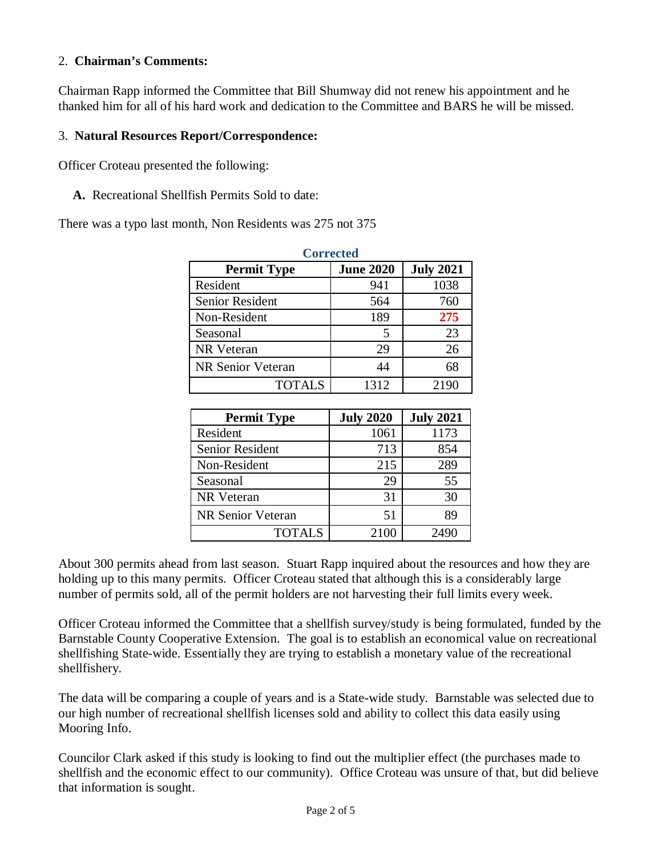### 2. **Chairman's Comments:**

Chairman Rapp informed the Committee that Bill Shumway did not renew his appointment and he thanked him for all of his hard work and dedication to the Committee and BARS he will be missed.

#### 3. **Natural Resources Report/Correspondence:**

Officer Croteau presented the following:

**A.** Recreational Shellfish Permits Sold to date:

There was a typo last month, Non Residents was 275 not 375

| <b>Corrected</b>       |                  |                  |
|------------------------|------------------|------------------|
| <b>Permit Type</b>     | <b>June 2020</b> | <b>July 2021</b> |
| Resident               | 941              | 1038             |
| <b>Senior Resident</b> | 564              | 760              |
| Non-Resident           | 189              | 275              |
| Seasonal               |                  | 23               |
| NR Veteran             | 29               | 26               |
| NR Senior Veteran      | 44               | 68               |
| <b>TOTALS</b>          | 1312             | 2190             |

| <b>Permit Type</b>     | <b>July 2020</b> | <b>July 2021</b> |
|------------------------|------------------|------------------|
| Resident               | 1061             | 1173             |
| <b>Senior Resident</b> | 713              | 854              |
| Non-Resident           | 215              | 289              |
| Seasonal               | 29               | 55               |
| NR Veteran             | 31               | 30               |
| NR Senior Veteran      | 51               | 89               |
| <b>TOTALS</b>          | 2100             | 2490             |

About 300 permits ahead from last season. Stuart Rapp inquired about the resources and how they are holding up to this many permits. Officer Croteau stated that although this is a considerably large number of permits sold, all of the permit holders are not harvesting their full limits every week.

Officer Croteau informed the Committee that a shellfish survey/study is being formulated, funded by the Barnstable County Cooperative Extension. The goal is to establish an economical value on recreational shellfishing State-wide. Essentially they are trying to establish a monetary value of the recreational shellfishery.

The data will be comparing a couple of years and is a State-wide study. Barnstable was selected due to our high number of recreational shellfish licenses sold and ability to collect this data easily using Mooring Info.

Councilor Clark asked if this study is looking to find out the multiplier effect (the purchases made to shellfish and the economic effect to our community). Office Croteau was unsure of that, but did believe that information is sought.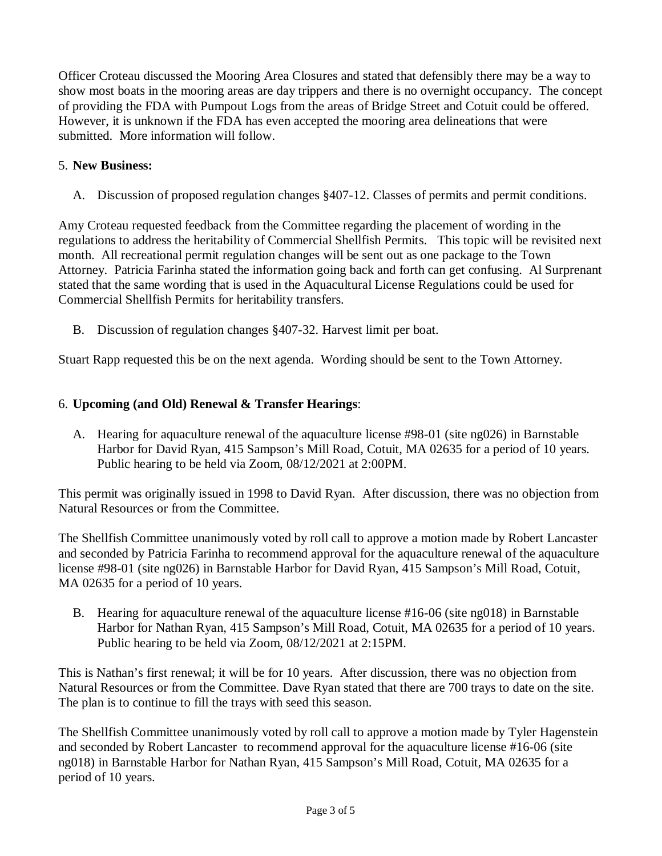Officer Croteau discussed the Mooring Area Closures and stated that defensibly there may be a way to show most boats in the mooring areas are day trippers and there is no overnight occupancy. The concept of providing the FDA with Pumpout Logs from the areas of Bridge Street and Cotuit could be offered. However, it is unknown if the FDA has even accepted the mooring area delineations that were submitted. More information will follow.

### 5. **New Business:**

A. Discussion of proposed regulation changes §407-12. Classes of permits and permit conditions.

Amy Croteau requested feedback from the Committee regarding the placement of wording in the regulations to address the heritability of Commercial Shellfish Permits. This topic will be revisited next month. All recreational permit regulation changes will be sent out as one package to the Town Attorney. Patricia Farinha stated the information going back and forth can get confusing. Al Surprenant stated that the same wording that is used in the Aquacultural License Regulations could be used for Commercial Shellfish Permits for heritability transfers.

B. Discussion of regulation changes §407-32. Harvest limit per boat.

Stuart Rapp requested this be on the next agenda. Wording should be sent to the Town Attorney.

### 6. **Upcoming (and Old) Renewal & Transfer Hearings**:

A. Hearing for aquaculture renewal of the aquaculture license #98-01 (site ng026) in Barnstable Harbor for David Ryan, 415 Sampson's Mill Road, Cotuit, MA 02635 for a period of 10 years. Public hearing to be held via Zoom, 08/12/2021 at 2:00PM.

This permit was originally issued in 1998 to David Ryan. After discussion, there was no objection from Natural Resources or from the Committee.

The Shellfish Committee unanimously voted by roll call to approve a motion made by Robert Lancaster and seconded by Patricia Farinha to recommend approval for the aquaculture renewal of the aquaculture license #98-01 (site ng026) in Barnstable Harbor for David Ryan, 415 Sampson's Mill Road, Cotuit, MA 02635 for a period of 10 years.

B. Hearing for aquaculture renewal of the aquaculture license #16-06 (site ng018) in Barnstable Harbor for Nathan Ryan, 415 Sampson's Mill Road, Cotuit, MA 02635 for a period of 10 years. Public hearing to be held via Zoom, 08/12/2021 at 2:15PM.

This is Nathan's first renewal; it will be for 10 years. After discussion, there was no objection from Natural Resources or from the Committee. Dave Ryan stated that there are 700 trays to date on the site. The plan is to continue to fill the trays with seed this season.

The Shellfish Committee unanimously voted by roll call to approve a motion made by Tyler Hagenstein and seconded by Robert Lancaster to recommend approval for the aquaculture license #16-06 (site ng018) in Barnstable Harbor for Nathan Ryan, 415 Sampson's Mill Road, Cotuit, MA 02635 for a period of 10 years.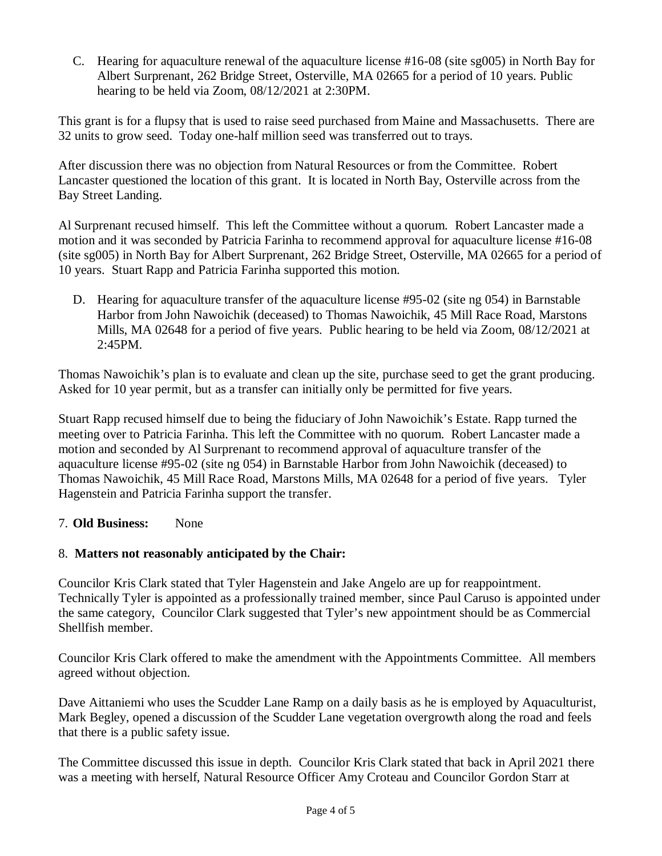C. Hearing for aquaculture renewal of the aquaculture license #16-08 (site sg005) in North Bay for Albert Surprenant, 262 Bridge Street, Osterville, MA 02665 for a period of 10 years. Public hearing to be held via Zoom, 08/12/2021 at 2:30PM.

This grant is for a flupsy that is used to raise seed purchased from Maine and Massachusetts. There are 32 units to grow seed. Today one-half million seed was transferred out to trays.

After discussion there was no objection from Natural Resources or from the Committee. Robert Lancaster questioned the location of this grant. It is located in North Bay, Osterville across from the Bay Street Landing.

Al Surprenant recused himself. This left the Committee without a quorum. Robert Lancaster made a motion and it was seconded by Patricia Farinha to recommend approval for aquaculture license #16-08 (site sg005) in North Bay for Albert Surprenant, 262 Bridge Street, Osterville, MA 02665 for a period of 10 years. Stuart Rapp and Patricia Farinha supported this motion.

D. Hearing for aquaculture transfer of the aquaculture license #95-02 (site ng 054) in Barnstable Harbor from John Nawoichik (deceased) to Thomas Nawoichik, 45 Mill Race Road, Marstons Mills, MA 02648 for a period of five years. Public hearing to be held via Zoom, 08/12/2021 at 2:45PM.

Thomas Nawoichik's plan is to evaluate and clean up the site, purchase seed to get the grant producing. Asked for 10 year permit, but as a transfer can initially only be permitted for five years.

Stuart Rapp recused himself due to being the fiduciary of John Nawoichik's Estate. Rapp turned the meeting over to Patricia Farinha. This left the Committee with no quorum. Robert Lancaster made a motion and seconded by Al Surprenant to recommend approval of aquaculture transfer of the aquaculture license #95-02 (site ng 054) in Barnstable Harbor from John Nawoichik (deceased) to Thomas Nawoichik, 45 Mill Race Road, Marstons Mills, MA 02648 for a period of five years. Tyler Hagenstein and Patricia Farinha support the transfer.

### 7. **Old Business:** None

# 8. **Matters not reasonably anticipated by the Chair:**

Councilor Kris Clark stated that Tyler Hagenstein and Jake Angelo are up for reappointment. Technically Tyler is appointed as a professionally trained member, since Paul Caruso is appointed under the same category, Councilor Clark suggested that Tyler's new appointment should be as Commercial Shellfish member.

Councilor Kris Clark offered to make the amendment with the Appointments Committee. All members agreed without objection.

Dave Aittaniemi who uses the Scudder Lane Ramp on a daily basis as he is employed by Aquaculturist, Mark Begley, opened a discussion of the Scudder Lane vegetation overgrowth along the road and feels that there is a public safety issue.

The Committee discussed this issue in depth. Councilor Kris Clark stated that back in April 2021 there was a meeting with herself, Natural Resource Officer Amy Croteau and Councilor Gordon Starr at